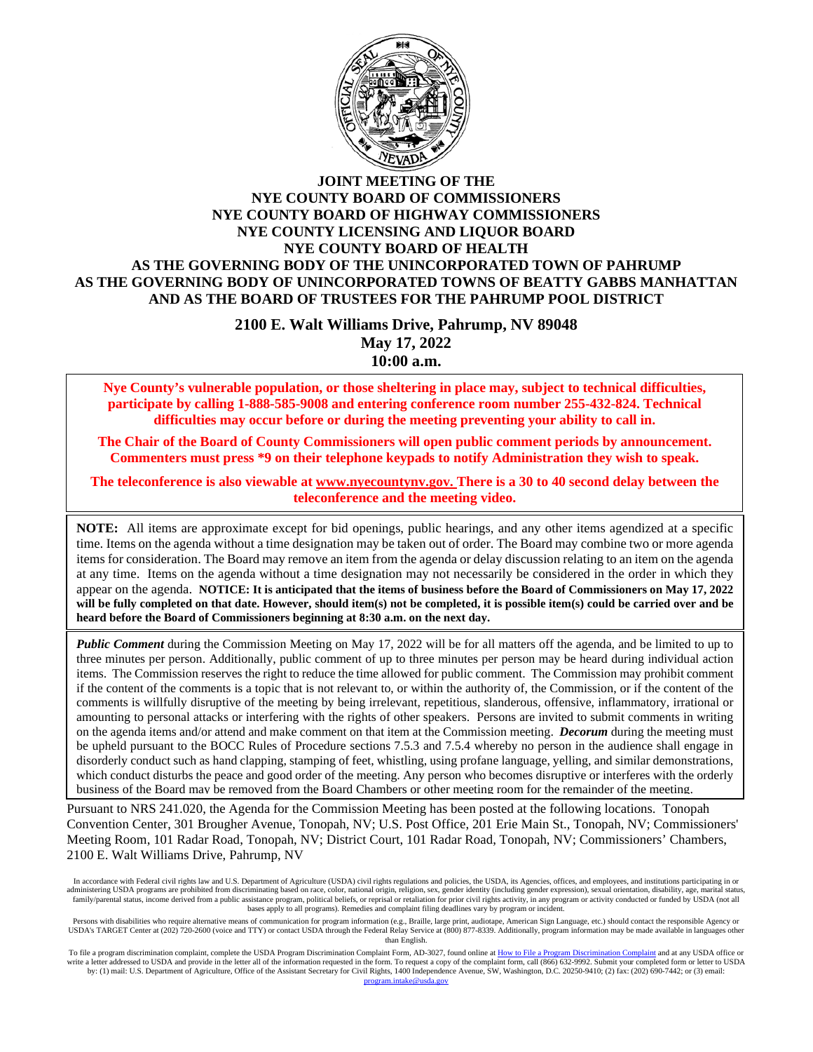

#### **JOINT MEETING OF THE NYE COUNTY BOARD OF COMMISSIONERS NYE COUNTY BOARD OF HIGHWAY COMMISSIONERS NYE COUNTY LICENSING AND LIQUOR BOARD NYE COUNTY BOARD OF HEALTH AS THE GOVERNING BODY OF THE UNINCORPORATED TOWN OF PAHRUMP AS THE GOVERNING BODY OF UNINCORPORATED TOWNS OF BEATTY GABBS MANHATTAN AND AS THE BOARD OF TRUSTEES FOR THE PAHRUMP POOL DISTRICT**

**2100 E. Walt Williams Drive, Pahrump, NV 89048 May 17, 2022 10:00 a.m.**

**Nye County's vulnerable population, or those sheltering in place may, subject to technical difficulties, participate by calling 1-888-585-9008 and entering conference room number 255-432-824. Technical difficulties may occur before or during the meeting preventing your ability to call in.** 

**The Chair of the Board of County Commissioners will open public comment periods by announcement. Commenters must press \*9 on their telephone keypads to notify Administration they wish to speak.** 

**The teleconference is also viewable at [www.nyecountynv.gov.](http://www.nyecountynv.gov/) There is a 30 to 40 second delay between the teleconference and the meeting video.**

**NOTE:** All items are approximate except for bid openings, public hearings, and any other items agendized at a specific time. Items on the agenda without a time designation may be taken out of order. The Board may combine two or more agenda items for consideration. The Board may remove an item from the agenda or delay discussion relating to an item on the agenda at any time. Items on the agenda without a time designation may not necessarily be considered in the order in which they appear on the agenda. **NOTICE: It is anticipated that the items of business before the Board of Commissioners on May 17, 2022 will be fully completed on that date. However, should item(s) not be completed, it is possible item(s) could be carried over and be heard before the Board of Commissioners beginning at 8:30 a.m. on the next day.**

*Public Comment* during the Commission Meeting on May 17, 2022 will be for all matters off the agenda, and be limited to up to three minutes per person. Additionally, public comment of up to three minutes per person may be heard during individual action items. The Commission reserves the right to reduce the time allowed for public comment. The Commission may prohibit comment if the content of the comments is a topic that is not relevant to, or within the authority of, the Commission, or if the content of the comments is willfully disruptive of the meeting by being irrelevant, repetitious, slanderous, offensive, inflammatory, irrational or amounting to personal attacks or interfering with the rights of other speakers. Persons are invited to submit comments in writing on the agenda items and/or attend and make comment on that item at the Commission meeting. *Decorum* during the meeting must be upheld pursuant to the BOCC Rules of Procedure sections 7.5.3 and 7.5.4 whereby no person in the audience shall engage in disorderly conduct such as hand clapping, stamping of feet, whistling, using profane language, yelling, and similar demonstrations, which conduct disturbs the peace and good order of the meeting. Any person who becomes disruptive or interferes with the orderly business of the Board may be removed from the Board Chambers or other meeting room for the remainder of the meeting.

Pursuant to NRS 241.020, the Agenda for the Commission Meeting has been posted at the following locations. Tonopah Convention Center, 301 Brougher Avenue, Tonopah, NV; U.S. Post Office, 201 Erie Main St., Tonopah, NV; Commissioners' Meeting Room, 101 Radar Road, Tonopah, NV; District Court, 101 Radar Road, Tonopah, NV; Commissioners' Chambers, 2100 E. Walt Williams Drive, Pahrump, NV

In accordance with Federal civil rights law and U.S. Department of Agriculture (USDA) civil rights regulations and policies, the USDA, its Agencies, offices, and employees, and institutions participating in or administering USDA programs are prohibited from discriminating based on race, color, national origin, religion, sex, gender identity (including gender expression), sexual orientation, disability, age, marital status, family/parental status, income derived from a public assistance program, political beliefs, or reprisal or retaliation for prior civil rights activity, in any program or activity conducted or funded by USDA (not all bases apply to all programs). Remedies and complaint filing deadlines vary by program or incident.

Persons with disabilities who require alternative means of communication for program information (e.g., Braille, large print, audiotape, American Sign Language, etc.) should contact the responsible Agency or USDA's TARGET Center at (202) 720-2600 (voice and TTY) or contact USDA through the Federal Relay Service at (800) 877-8339. Additionally, program information may be made available in languages other than English.

To file a program discrimination complaint, complete the USDA Program Discrimination Complaint Form, AD-3027, found online a[t How to File a Program Discrimination Complaint](https://www.ascr.usda.gov/how-file-program-discrimination-complaint) and at any USDA office or write a letter addressed to USDA and provide in the letter all of the information requested in the form. To request a copy of the complaint form, call (866) 632-9992. Submit your completed form or letter to USDA by: (1) ma da gov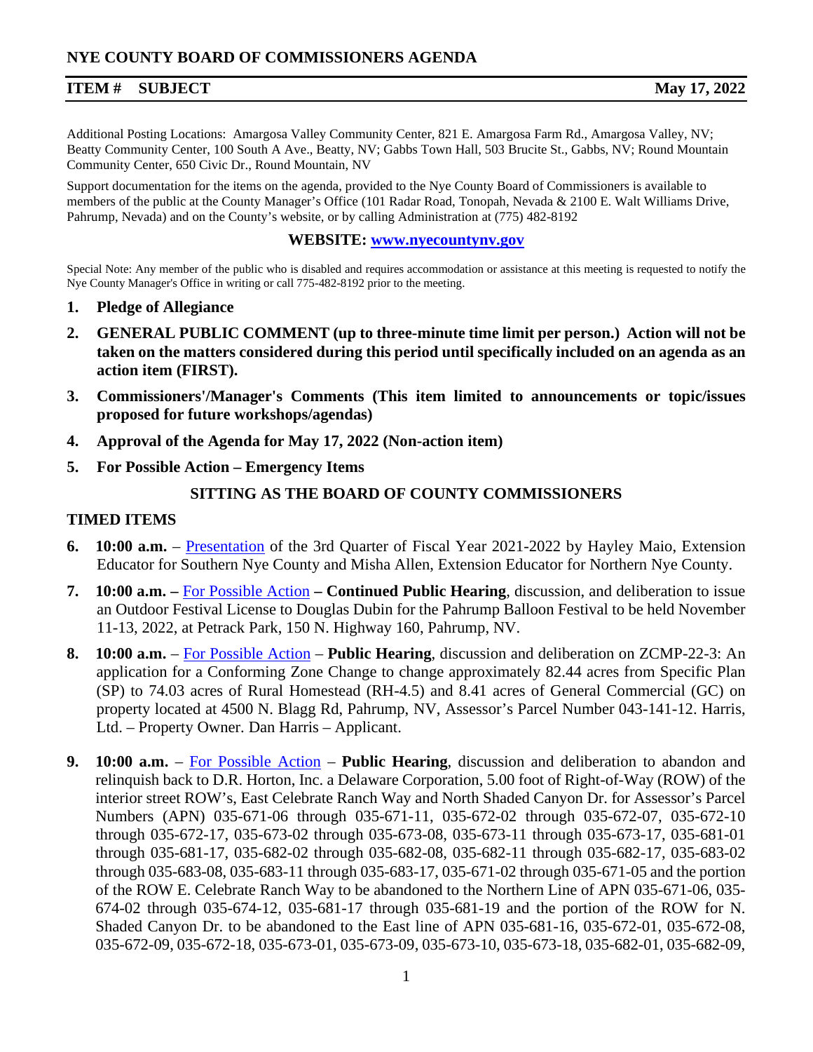# **ITEM # SUBJECT May 17, 2022**

Additional Posting Locations: Amargosa Valley Community Center, 821 E. Amargosa Farm Rd., Amargosa Valley, NV; Beatty Community Center, 100 South A Ave., Beatty, NV; Gabbs Town Hall, 503 Brucite St., Gabbs, NV; Round Mountain Community Center, 650 Civic Dr., Round Mountain, NV

Support documentation for the items on the agenda, provided to the Nye County Board of Commissioners is available to members of the public at the County Manager's Office (101 Radar Road, Tonopah, Nevada & 2100 E. Walt Williams Drive, Pahrump, Nevada) and on the County's website, or by calling Administration at (775) 482-8192

#### **WEBSITE: [www.nyecountynv.gov](http://www.nyecountynv.gov/)**

Special Note: Any member of the public who is disabled and requires accommodation or assistance at this meeting is requested to notify the Nye County Manager's Office in writing or call 775-482-8192 prior to the meeting.

- **1. Pledge of Allegiance**
- **2. GENERAL PUBLIC COMMENT (up to three-minute time limit per person.) Action will not be taken on the matters considered during this period until specifically included on an agenda as an action item (FIRST).**
- **3. Commissioners'/Manager's Comments (This item limited to announcements or topic/issues proposed for future workshops/agendas)**
- **4. Approval of the Agenda for May 17, 2022 (Non-action item)**
- **5. For Possible Action – Emergency Items**

#### **SITTING AS THE BOARD OF COUNTY COMMISSIONERS**

#### **TIMED ITEMS**

- **6. 10:00 a.m.** [Presentation](https://www.nyecountynv.gov/DocumentCenter/View/41068/Item6) of the 3rd Quarter of Fiscal Year 2021-2022 by Hayley Maio, Extension Educator for Southern Nye County and Misha Allen, Extension Educator for Northern Nye County.
- **7. 10:00 a.m. –** [For Possible Action](https://www.nyecountynv.gov/DocumentCenter/View/41069/Item7) **– Continued Public Hearing**, discussion, and deliberation to issue an Outdoor Festival License to Douglas Dubin for the Pahrump Balloon Festival to be held November 11-13, 2022, at Petrack Park, 150 N. Highway 160, Pahrump, NV.
- **8. 10:00 a.m.**  [For Possible Action](https://www.nyecountynv.gov/DocumentCenter/View/41070/Item8) **Public Hearing**, discussion and deliberation on ZCMP-22-3: An application for a Conforming Zone Change to change approximately 82.44 acres from Specific Plan (SP) to 74.03 acres of Rural Homestead (RH-4.5) and 8.41 acres of General Commercial (GC) on property located at 4500 N. Blagg Rd, Pahrump, NV, Assessor's Parcel Number 043-141-12. Harris, Ltd. – Property Owner. Dan Harris – Applicant.
- **9. 10:00 a.m.** [For Possible Action](https://www.nyecountynv.gov/DocumentCenter/View/41071/Item9) **Public Hearing**, discussion and deliberation to abandon and relinquish back to D.R. Horton, Inc. a Delaware Corporation, 5.00 foot of Right-of-Way (ROW) of the interior street ROW's, East Celebrate Ranch Way and North Shaded Canyon Dr. for Assessor's Parcel Numbers (APN) 035-671-06 through 035-671-11, 035-672-02 through 035-672-07, 035-672-10 through 035-672-17, 035-673-02 through 035-673-08, 035-673-11 through 035-673-17, 035-681-01 through 035-681-17, 035-682-02 through 035-682-08, 035-682-11 through 035-682-17, 035-683-02 through 035-683-08, 035-683-11 through 035-683-17, 035-671-02 through 035-671-05 and the portion of the ROW E. Celebrate Ranch Way to be abandoned to the Northern Line of APN 035-671-06, 035- 674-02 through 035-674-12, 035-681-17 through 035-681-19 and the portion of the ROW for N. Shaded Canyon Dr. to be abandoned to the East line of APN 035-681-16, 035-672-01, 035-672-08, 035-672-09, 035-672-18, 035-673-01, 035-673-09, 035-673-10, 035-673-18, 035-682-01, 035-682-09,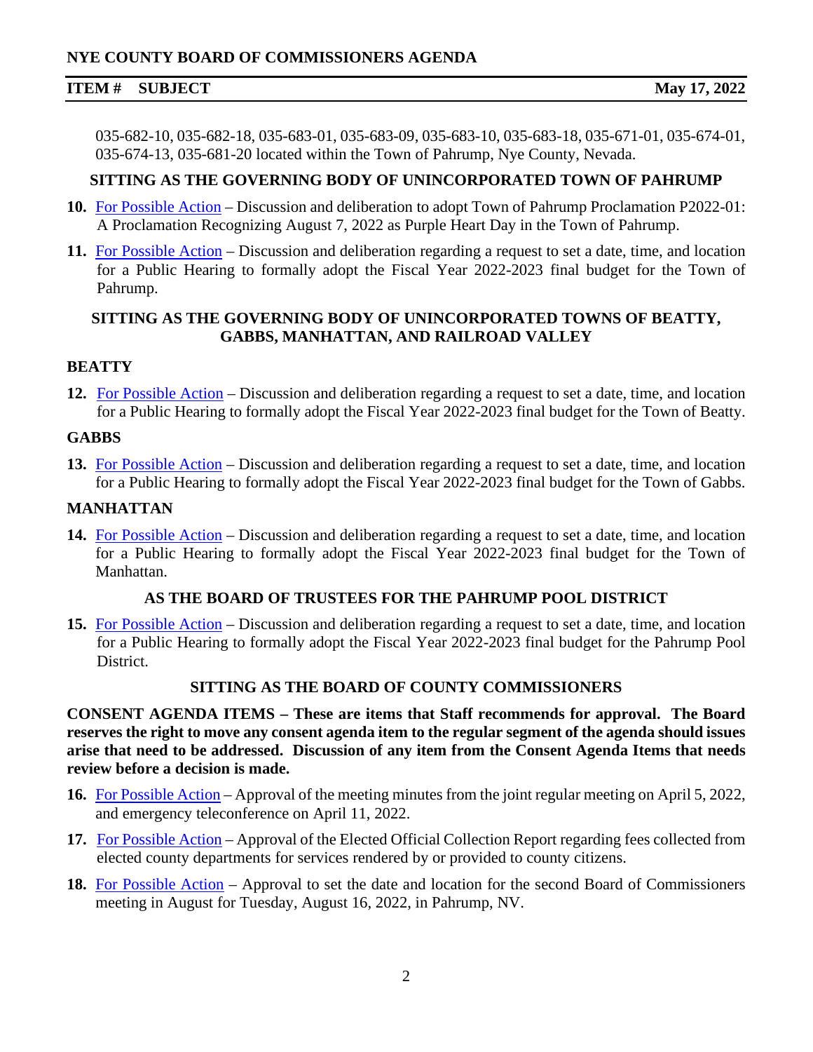# **NYE COUNTY BOARD OF COMMISSIONERS AGENDA**

#### **ITEM # SUBJECT May 17, 2022**

035-682-10, 035-682-18, 035-683-01, 035-683-09, 035-683-10, 035-683-18, 035-671-01, 035-674-01, 035-674-13, 035-681-20 located within the Town of Pahrump, Nye County, Nevada.

#### **SITTING AS THE GOVERNING BODY OF UNINCORPORATED TOWN OF PAHRUMP**

- **10.** [For Possible Action](https://www.nyecountynv.gov/DocumentCenter/View/41072/Item10) Discussion and deliberation to adopt Town of Pahrump Proclamation P2022-01: A Proclamation Recognizing August 7, 2022 as Purple Heart Day in the Town of Pahrump.
- **11.** [For Possible Action](https://www.nyecountynv.gov/DocumentCenter/View/41073/Item11) Discussion and deliberation regarding a request to set a date, time, and location for a Public Hearing to formally adopt the Fiscal Year 2022-2023 final budget for the Town of Pahrump.

# **SITTING AS THE GOVERNING BODY OF UNINCORPORATED TOWNS OF BEATTY, GABBS, MANHATTAN, AND RAILROAD VALLEY**

#### **BEATTY**

**12.** [For Possible Action](https://www.nyecountynv.gov/DocumentCenter/View/41074/Item12) – Discussion and deliberation regarding a request to set a date, time, and location for a Public Hearing to formally adopt the Fiscal Year 2022-2023 final budget for the Town of Beatty.

#### **GABBS**

**13.** [For Possible Action](https://www.nyecountynv.gov/DocumentCenter/View/41075/Item13) – Discussion and deliberation regarding a request to set a date, time, and location for a Public Hearing to formally adopt the Fiscal Year 2022-2023 final budget for the Town of Gabbs.

#### **MANHATTAN**

**14.** [For Possible Action](https://www.nyecountynv.gov/DocumentCenter/View/41076/Item14) – Discussion and deliberation regarding a request to set a date, time, and location for a Public Hearing to formally adopt the Fiscal Year 2022-2023 final budget for the Town of Manhattan.

#### **AS THE BOARD OF TRUSTEES FOR THE PAHRUMP POOL DISTRICT**

**15.** [For Possible Action](https://www.nyecountynv.gov/DocumentCenter/View/41077/Item15) – Discussion and deliberation regarding a request to set a date, time, and location for a Public Hearing to formally adopt the Fiscal Year 2022-2023 final budget for the Pahrump Pool District.

#### **SITTING AS THE BOARD OF COUNTY COMMISSIONERS**

**CONSENT AGENDA ITEMS – These are items that Staff recommends for approval. The Board reserves the right to move any consent agenda item to the regular segment of the agenda should issues arise that need to be addressed. Discussion of any item from the Consent Agenda Items that needs review before a decision is made.** 

- **16.** [For Possible Action](https://www.nyecountynv.gov/DocumentCenter/View/41078/Item16) Approval of the meeting minutes from the joint regular meeting on April 5, 2022, and emergency teleconference on April 11, 2022.
- **17.** [For Possible Action](https://www.nyecountynv.gov/DocumentCenter/View/41079/Item17) Approval of the Elected Official Collection Report regarding fees collected from elected county departments for services rendered by or provided to county citizens.
- **18.** [For Possible Action](https://www.nyecountynv.gov/DocumentCenter/View/41080/Item18) Approval to set the date and location for the second Board of Commissioners meeting in August for Tuesday, August 16, 2022, in Pahrump, NV.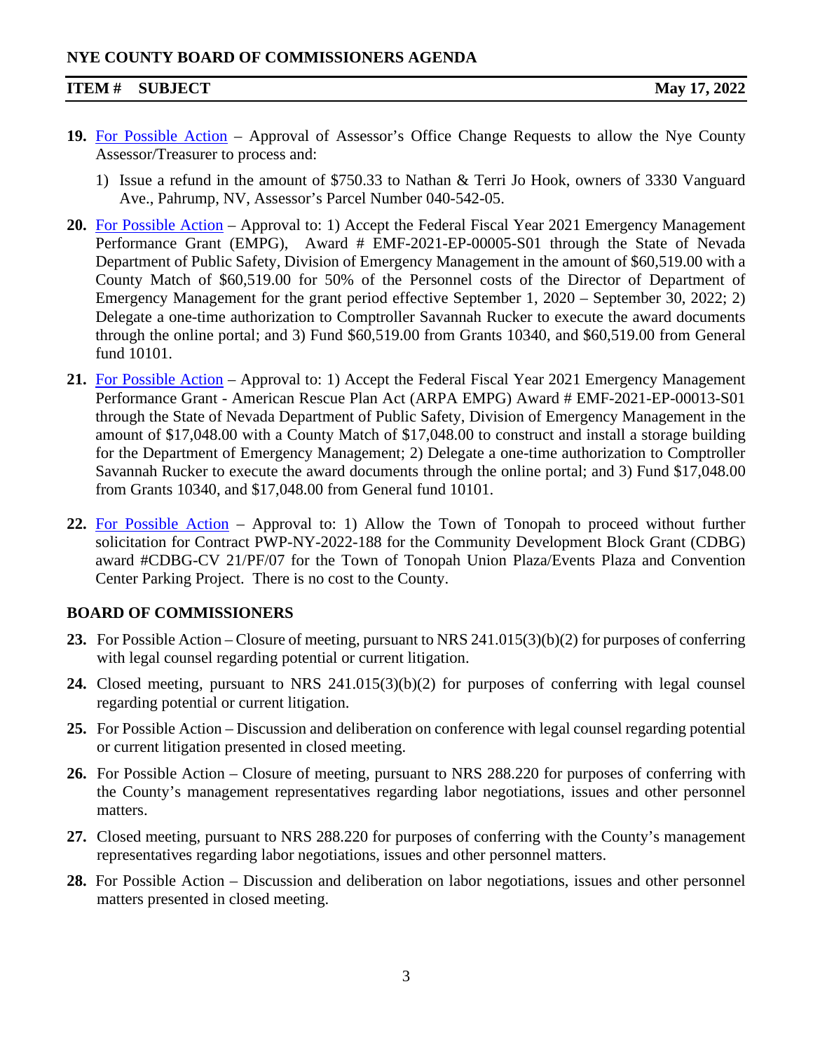# **NYE COUNTY BOARD OF COMMISSIONERS AGENDA**

#### **ITEM # SUBJECT May 17, 2022**

- **19.** [For Possible Action](https://www.nyecountynv.gov/DocumentCenter/View/41081/Item19) Approval of Assessor's Office Change Requests to allow the Nye County Assessor/Treasurer to process and:
	- 1) Issue a refund in the amount of \$750.33 to Nathan & Terri Jo Hook, owners of 3330 Vanguard Ave., Pahrump, NV, Assessor's Parcel Number 040-542-05.
- **20.** [For Possible Action](https://www.nyecountynv.gov/DocumentCenter/View/41082/Item20) Approval to: 1) Accept the Federal Fiscal Year 2021 Emergency Management Performance Grant (EMPG), Award # EMF-2021-EP-00005-S01 through the State of Nevada Department of Public Safety, Division of Emergency Management in the amount of \$60,519.00 with a County Match of \$60,519.00 for 50% of the Personnel costs of the Director of Department of Emergency Management for the grant period effective September 1, 2020 – September 30, 2022; 2) Delegate a one-time authorization to Comptroller Savannah Rucker to execute the award documents through the online portal; and 3) Fund \$60,519.00 from Grants 10340, and \$60,519.00 from General fund 10101.
- **21.** [For Possible Action](https://www.nyecountynv.gov/DocumentCenter/View/41083/Item21) Approval to: 1) Accept the Federal Fiscal Year 2021 Emergency Management Performance Grant - American Rescue Plan Act (ARPA EMPG) Award # EMF-2021-EP-00013-S01 through the State of Nevada Department of Public Safety, Division of Emergency Management in the amount of \$17,048.00 with a County Match of \$17,048.00 to construct and install a storage building for the Department of Emergency Management; 2) Delegate a one-time authorization to Comptroller Savannah Rucker to execute the award documents through the online portal; and 3) Fund \$17,048.00 from Grants 10340, and \$17,048.00 from General fund 10101.
- **22.** [For Possible Action](https://www.nyecountynv.gov/DocumentCenter/View/41084/Item22) Approval to: 1) Allow the Town of Tonopah to proceed without further solicitation for Contract PWP-NY-2022-188 for the Community Development Block Grant (CDBG) award #CDBG-CV 21/PF/07 for the Town of Tonopah Union Plaza/Events Plaza and Convention Center Parking Project. There is no cost to the County.

# **BOARD OF COMMISSIONERS**

- **23.** For Possible Action Closure of meeting, pursuant to NRS 241.015(3)(b)(2) for purposes of conferring with legal counsel regarding potential or current litigation.
- **24.** Closed meeting, pursuant to NRS 241.015(3)(b)(2) for purposes of conferring with legal counsel regarding potential or current litigation.
- **25.** For Possible Action Discussion and deliberation on conference with legal counsel regarding potential or current litigation presented in closed meeting.
- **26.** For Possible Action Closure of meeting, pursuant to NRS 288.220 for purposes of conferring with the County's management representatives regarding labor negotiations, issues and other personnel matters.
- **27.** Closed meeting, pursuant to NRS 288.220 for purposes of conferring with the County's management representatives regarding labor negotiations, issues and other personnel matters.
- **28.** For Possible Action Discussion and deliberation on labor negotiations, issues and other personnel matters presented in closed meeting.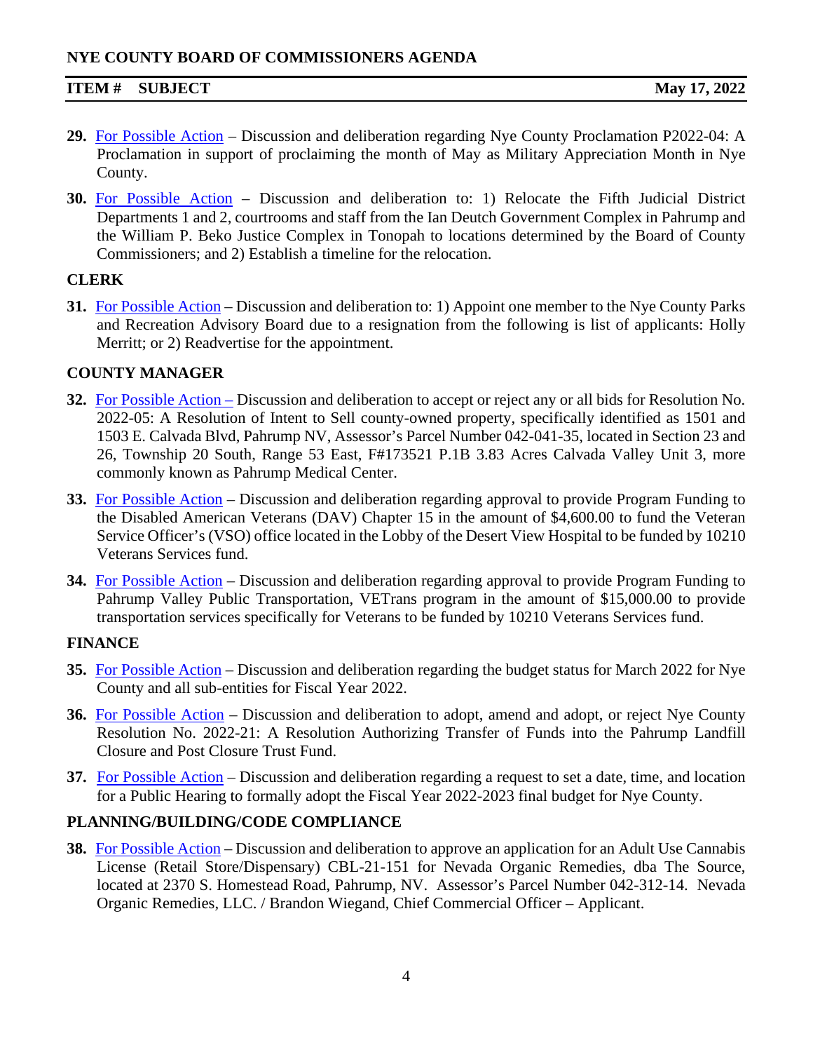# **ITEM # SUBJECT May 17, 2022**

- **29.** [For Possible Action](https://www.nyecountynv.gov/DocumentCenter/View/41085/Item29) Discussion and deliberation regarding Nye County Proclamation P2022-04: A Proclamation in support of proclaiming the month of May as Military Appreciation Month in Nye County.
- **30.** [For Possible Action](https://www.nyecountynv.gov/DocumentCenter/View/41086/Item30) Discussion and deliberation to: 1) Relocate the Fifth Judicial District Departments 1 and 2, courtrooms and staff from the Ian Deutch Government Complex in Pahrump and the William P. Beko Justice Complex in Tonopah to locations determined by the Board of County Commissioners; and 2) Establish a timeline for the relocation.

# **CLERK**

**31.** [For Possible Action](https://www.nyecountynv.gov/DocumentCenter/View/41087/Item31) – Discussion and deliberation to: 1) Appoint one member to the Nye County Parks and Recreation Advisory Board due to a resignation from the following is list of applicants: Holly Merritt; or 2) Readvertise for the appointment.

# **COUNTY MANAGER**

- **32.** [For Possible Action](https://www.nyecountynv.gov/DocumentCenter/View/41088/Item32) Discussion and deliberation to accept or reject any or all bids for Resolution No. 2022-05: A Resolution of Intent to Sell county-owned property, specifically identified as 1501 and 1503 E. Calvada Blvd, Pahrump NV, Assessor's Parcel Number 042-041-35, located in Section 23 and 26, Township 20 South, Range 53 East, F#173521 P.1B 3.83 Acres Calvada Valley Unit 3, more commonly known as Pahrump Medical Center.
- **33.** [For Possible Action](https://www.nyecountynv.gov/DocumentCenter/View/41089/Item33) Discussion and deliberation regarding approval to provide Program Funding to the Disabled American Veterans (DAV) Chapter 15 in the amount of \$4,600.00 to fund the Veteran Service Officer's (VSO) office located in the Lobby of the Desert View Hospital to be funded by 10210 Veterans Services fund.
- **34.** [For Possible Action](https://www.nyecountynv.gov/DocumentCenter/View/41090/Item34) Discussion and deliberation regarding approval to provide Program Funding to Pahrump Valley Public Transportation, VETrans program in the amount of \$15,000.00 to provide transportation services specifically for Veterans to be funded by 10210 Veterans Services fund.

# **FINANCE**

- **35.** [For Possible Action](https://www.nyecountynv.gov/DocumentCenter/View/41091/Item35) Discussion and deliberation regarding the budget status for March 2022 for Nye County and all sub-entities for Fiscal Year 2022.
- **36.** [For Possible Action](https://www.nyecountynv.gov/DocumentCenter/View/41092/Item36) Discussion and deliberation to adopt, amend and adopt, or reject Nye County Resolution No. 2022-21: A Resolution Authorizing Transfer of Funds into the Pahrump Landfill Closure and Post Closure Trust Fund.
- **37.** [For Possible Action](https://www.nyecountynv.gov/DocumentCenter/View/41093/Item37) Discussion and deliberation regarding a request to set a date, time, and location for a Public Hearing to formally adopt the Fiscal Year 2022-2023 final budget for Nye County.

# **PLANNING/BUILDING/CODE COMPLIANCE**

**38.** [For Possible Action](https://www.nyecountynv.gov/DocumentCenter/View/41094/Item38) – Discussion and deliberation to approve an application for an Adult Use Cannabis License (Retail Store/Dispensary) CBL-21-151 for Nevada Organic Remedies, dba The Source, located at 2370 S. Homestead Road, Pahrump, NV. Assessor's Parcel Number 042-312-14. Nevada Organic Remedies, LLC. / Brandon Wiegand, Chief Commercial Officer – Applicant.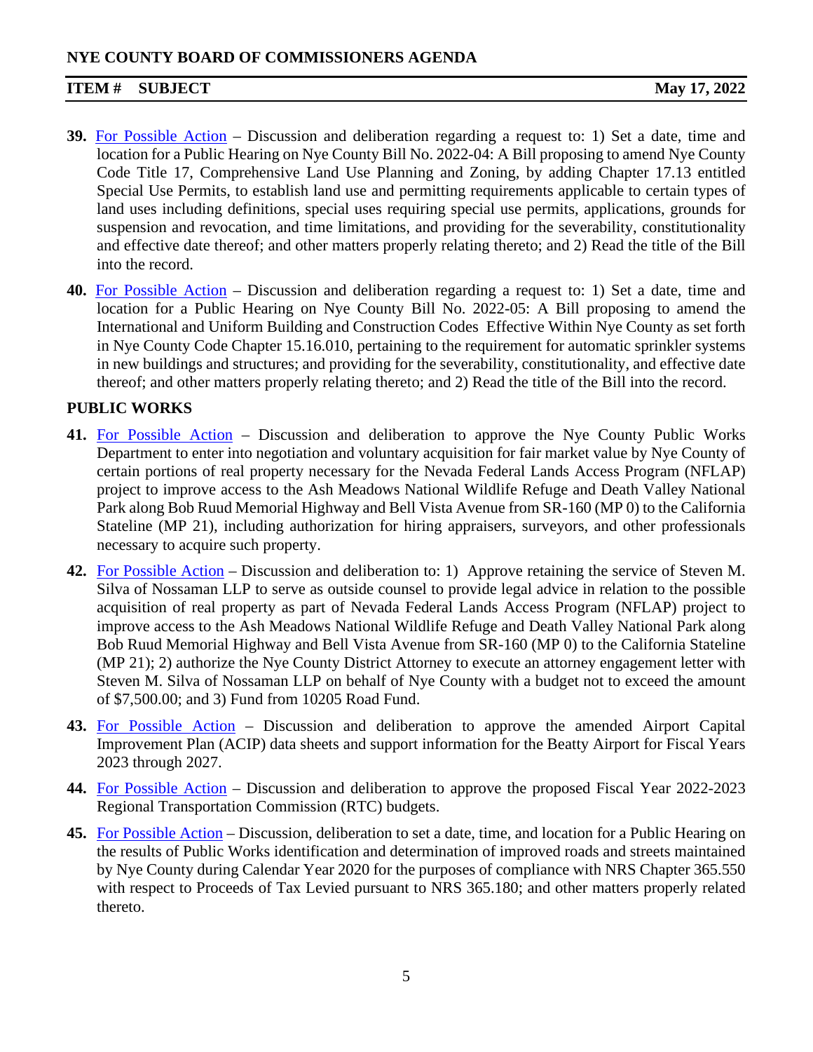# **NYE COUNTY BOARD OF COMMISSIONERS AGENDA**

# **ITEM # SUBJECT May 17, 2022**

- **39.** [For Possible Action](https://www.nyecountynv.gov/DocumentCenter/View/41095/Item39) Discussion and deliberation regarding a request to: 1) Set a date, time and location for a Public Hearing on Nye County Bill No. 2022-04: A Bill proposing to amend Nye County Code Title 17, Comprehensive Land Use Planning and Zoning, by adding Chapter 17.13 entitled Special Use Permits, to establish land use and permitting requirements applicable to certain types of land uses including definitions, special uses requiring special use permits, applications, grounds for suspension and revocation, and time limitations, and providing for the severability, constitutionality and effective date thereof; and other matters properly relating thereto; and 2) Read the title of the Bill into the record.
- **40.** [For Possible Action](https://www.nyecountynv.gov/DocumentCenter/View/41096/Item40) Discussion and deliberation regarding a request to: 1) Set a date, time and location for a Public Hearing on Nye County Bill No. 2022-05: A Bill proposing to amend the International and Uniform Building and Construction Codes Effective Within Nye County as set forth in Nye County Code Chapter 15.16.010, pertaining to the requirement for automatic sprinkler systems in new buildings and structures; and providing for the severability, constitutionality, and effective date thereof; and other matters properly relating thereto; and 2) Read the title of the Bill into the record.

# **PUBLIC WORKS**

- **41.** [For Possible Action](https://www.nyecountynv.gov/DocumentCenter/View/41097/Item41) Discussion and deliberation to approve the Nye County Public Works Department to enter into negotiation and voluntary acquisition for fair market value by Nye County of certain portions of real property necessary for the Nevada Federal Lands Access Program (NFLAP) project to improve access to the Ash Meadows National Wildlife Refuge and Death Valley National Park along Bob Ruud Memorial Highway and Bell Vista Avenue from SR-160 (MP 0) to the California Stateline (MP 21), including authorization for hiring appraisers, surveyors, and other professionals necessary to acquire such property.
- **42.** [For Possible Action](https://www.nyecountynv.gov/DocumentCenter/View/41098/Item42) Discussion and deliberation to: 1) Approve retaining the service of Steven M. Silva of Nossaman LLP to serve as outside counsel to provide legal advice in relation to the possible acquisition of real property as part of Nevada Federal Lands Access Program (NFLAP) project to improve access to the Ash Meadows National Wildlife Refuge and Death Valley National Park along Bob Ruud Memorial Highway and Bell Vista Avenue from SR-160 (MP 0) to the California Stateline (MP 21); 2) authorize the Nye County District Attorney to execute an attorney engagement letter with Steven M. Silva of Nossaman LLP on behalf of Nye County with a budget not to exceed the amount of \$7,500.00; and 3) Fund from 10205 Road Fund.
- **43.** [For Possible Action](https://www.nyecountynv.gov/DocumentCenter/View/41099/Item43) Discussion and deliberation to approve the amended Airport Capital Improvement Plan (ACIP) data sheets and support information for the Beatty Airport for Fiscal Years 2023 through 2027.
- **44.** [For Possible Action](https://www.nyecountynv.gov/DocumentCenter/View/41100/Item44) Discussion and deliberation to approve the proposed Fiscal Year 2022-2023 Regional Transportation Commission (RTC) budgets.
- **45.** [For Possible Action](https://www.nyecountynv.gov/DocumentCenter/View/41101/Item45) Discussion, deliberation to set a date, time, and location for a Public Hearing on the results of Public Works identification and determination of improved roads and streets maintained by Nye County during Calendar Year 2020 for the purposes of compliance with NRS Chapter 365.550 with respect to Proceeds of Tax Levied pursuant to NRS 365.180; and other matters properly related thereto.